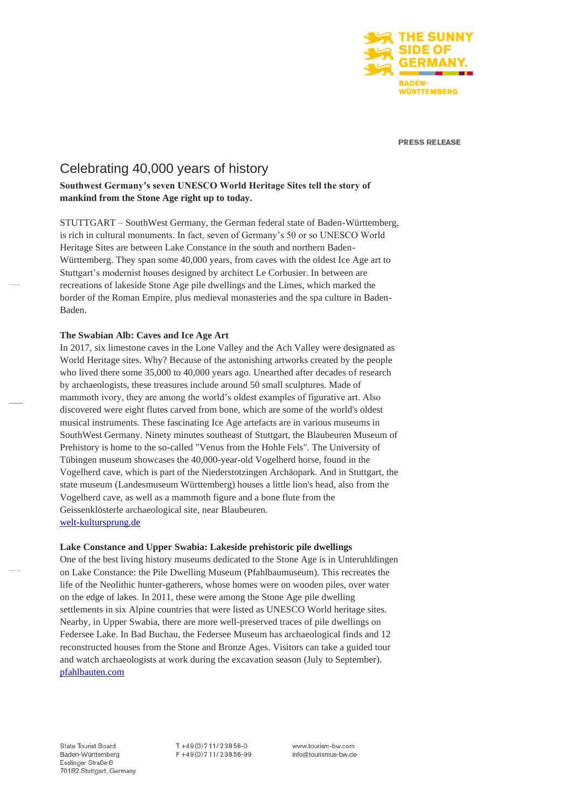

**PRESS RELEASE** 

# Celebrating 40,000 years of history

## **Southwest Germany's seven UNESCO World Heritage Sites tell the story of mankind from the Stone Age right up to today.**

STUTTGART – SouthWest Germany, the German federal state of Baden-Württemberg, is rich in cultural monuments. In fact, seven of Germany's 50 or so UNESCO World Heritage Sites are between Lake Constance in the south and northern Baden-Württemberg. They span some 40,000 years, from caves with the oldest Ice Age art to Stuttgart's modernist houses designed by architect Le Corbusier. In between are recreations of lakeside Stone Age pile dwellings and the Limes, which marked the border of the Roman Empire, plus medieval monasteries and the spa culture in Baden-Baden.

## **The Swabian Alb: Caves and Ice Age Art**

In 2017, six limestone caves in the Lone Valley and the Ach Valley were designated as World Heritage sites. Why? Because of the astonishing artworks created by the people who lived there some 35,000 to 40,000 years ago. Unearthed after decades of research by archaeologists, these treasures include around 50 small sculptures. Made of mammoth ivory, they are among the world's oldest examples of figurative art. Also discovered were eight flutes carved from bone, which are some of the world's oldest musical instruments. These fascinating Ice Age artefacts are in various museums in SouthWest Germany. Ninety minutes southeast of Stuttgart, the Blaubeuren Museum of Prehistory is home to the so-called "Venus from the Hohle Fels". The University of Tübingen museum showcases the 40,000-year-old Vogelherd horse, found in the Vogelherd cave, which is part of the Niederstotzingen Archäopark. And in Stuttgart, the state museum (Landesmuseum Württemberg) houses a little lion's head, also from the Vogelherd cave, as well as a mammoth figure and a bone flute from the Geissenklösterle archaeological site, near Blaubeuren. [welt-kultursprung.de](https://welt-kultursprung.de/?lang=en)

## **Lake Constance and Upper Swabia: Lakeside prehistoric pile dwellings**

One of the best living history museums dedicated to the Stone Age is in Unteruhldingen on Lake Constance: the Pile Dwelling Museum (Pfahlbaumuseum). This recreates the life of the Neolithic hunter-gatherers, whose homes were on wooden piles, over water on the edge of lakes. In 2011, these were among the Stone Age pile dwelling settlements in six Alpine countries that were listed as UNESCO World heritage sites. Nearby, in Upper Swabia, there are more well-preserved traces of pile dwellings on Federsee Lake. In Bad Buchau, the Federsee Museum has archaeological finds and 12 reconstructed houses from the Stone and Bronze Ages. Visitors can take a guided tour and watch archaeologists at work during the excavation season (July to September). [pfahlbauten.com](https://pfahlbauten.com/)

State Tourist Board Baden-Württemberg Esslinger Straße 8 70182 Stuttgart, Germany T+49(0)711/23858-0 F+49(0)711/23858-99

www.tourism-bw.com info@tourismus-bw.de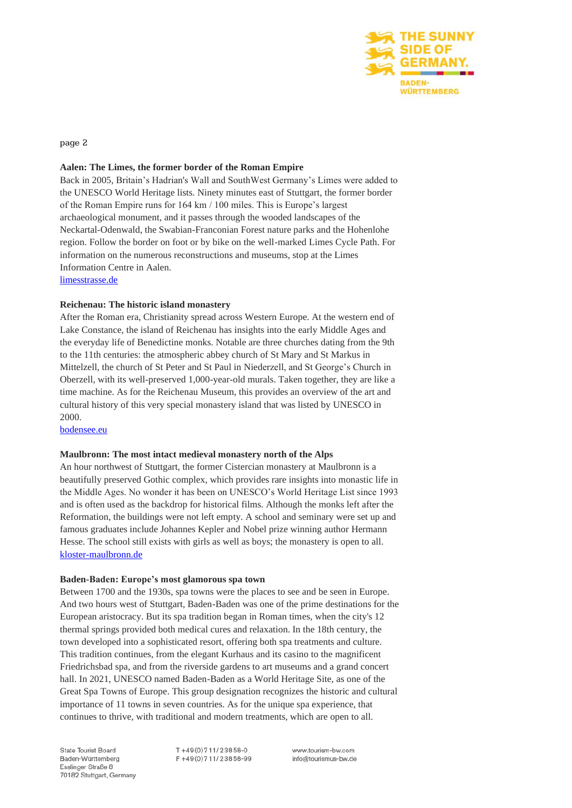

page 2

## **Aalen: The Limes, the former border of the Roman Empire**

Back in 2005, Britain's Hadrian's Wall and SouthWest Germany's Limes were added to the UNESCO World Heritage lists. Ninety minutes east of Stuttgart, the former border of the Roman Empire runs for 164 km / 100 miles. This is Europe's largest archaeological monument, and it passes through the wooded landscapes of the Neckartal-Odenwald, the Swabian-Franconian Forest nature parks and the Hohenlohe region. Follow the border on foot or by bike on the well-marked Limes Cycle Path. For information on the numerous reconstructions and museums, stop at the Limes Information Centre in Aalen.

[limesstrasse.de](https://www.limesstrasse.de/deutsche-limes-strasse/home/?L=1)

## **Reichenau: The historic island monastery**

After the Roman era, Christianity spread across Western Europe. At the western end of Lake Constance, the island of Reichenau has insights into the early Middle Ages and the everyday life of Benedictine monks. Notable are three churches dating from the 9th to the 11th centuries: the atmospheric abbey church of St Mary and St Markus in Mittelzell, the church of St Peter and St Paul in Niederzell, and St George's Church in Oberzell, with its well-preserved 1,000-year-old murals. Taken together, they are like a time machine. As for the Reichenau Museum, this provides an overview of the art and cultural history of this very special monastery island that was listed by UNESCO in 2000.

[bodensee.eu](https://www.bodensee.eu/en)

#### **Maulbronn: The most intact medieval monastery north of the Alps**

An hour northwest of Stuttgart, the former Cistercian monastery at Maulbronn is a beautifully preserved Gothic complex, which provides rare insights into monastic life in the Middle Ages. No wonder it has been on UNESCO's World Heritage List since 1993 and is often used as the backdrop for historical films. Although the monks left after the Reformation, the buildings were not left empty. A school and seminary were set up and famous graduates include Johannes Kepler and Nobel prize winning author Hermann Hesse. The school still exists with girls as well as boys; the monastery is open to all. [kloster-maulbronn.de](https://www.kloster-maulbronn.de/en/home)

#### **Baden-Baden: Europe's most glamorous spa town**

Between 1700 and the 1930s, spa towns were the places to see and be seen in Europe. And two hours west of Stuttgart, Baden-Baden was one of the prime destinations for the European aristocracy. But its spa tradition began in Roman times, when the city's 12 thermal springs provided both medical cures and relaxation. In the 18th century, the town developed into a sophisticated resort, offering both spa treatments and culture. This tradition continues, from the elegant Kurhaus and its casino to the magnificent Friedrichsbad spa, and from the riverside gardens to art museums and a grand concert hall. In 2021, UNESCO named Baden-Baden as a World Heritage Site, as one of the Great Spa Towns of Europe. This group designation recognizes the historic and cultural importance of 11 towns in seven countries. As for the unique spa experience, that continues to thrive, with traditional and modern treatments, which are open to all.

State Tourist Board Baden-Württemberg Esslinger Straße 8 70182 Stuttgart, Germany  $T + 49(0)711/23858-0$ F+49(0)711/23858-99 www.tourism-bw.com info@tourismus-bw.de